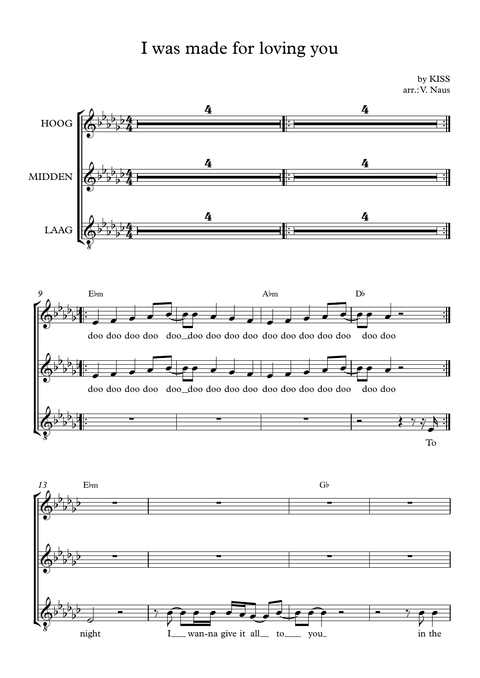## I was made for loving you

 $\left( 2+\frac{1}{2}+\frac{1}{2}\right)$  $\frac{\theta^{\frac{p}{2}p^{\frac{r}{p}}}}{p^{\frac{p}{2}}}$  $\left( 2+\frac{1}{2}+\frac{1}{2}\right)$ ™ ™ ™ ™ ™ ™ ™ ™ ™ ™ ™ ™ HOOG MIDDEN LAAG E<sub>bm</sub> A<sub>bm</sub> D<sub>b</sub> *9*  $4 \frac{1}{2}$  $\frac{4}{4}$   $\blacksquare$  $4 \frac{1}{2}$  $\frac{4}{4}$   $\blacksquare$  $4 \frac{1}{2}$  $\frac{4}{4}$   $\blacksquare$  $\phi$  $b_1$   $b_1$   $b_2$   $4$  $\frac{5}{2}$   $\frac{4}{4}$  $\frac{1}{2}$   $\frac{1}{2}$   $\frac{1}{2}$  $\frac{1}{2}$   $\frac{1}{4}$  $\frac{1}{2}$  $4 \hspace{2.5cm} 4$  $\phi$  $b_1$   $b_1$   $b_2$   $4$  $\frac{5}{2}$   $\frac{4}{4}$  $b_1$   $b_2$   $c_3$  $\frac{1}{2}$   $\frac{1}{4}$  $\frac{1}{2}$  $4 \hspace{2.5cm} 4$  $\bigoplus^p p^p^4$  $\sqrt{8}$  $\frac{b}{b}$  $b_1$   $b_1$   $b_2$   $4$  $\frac{5}{2}$   $\frac{4}{4}$  $b_1$   $b_2$   $c_3$  $\frac{1}{2}$   $\frac{1}{4}$  $\frac{1}{2}$  $4 \hspace{2.5cm} 4$ 





by KISS arr.:V. Naus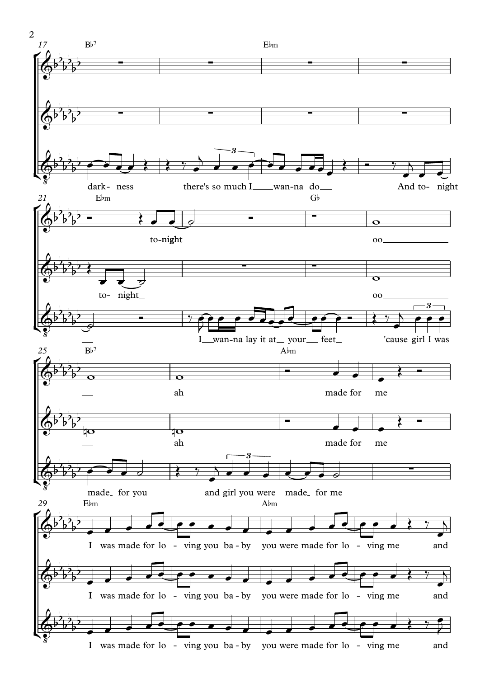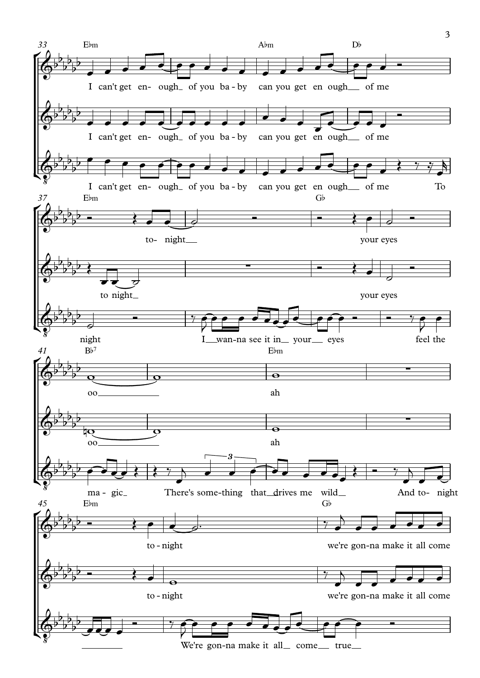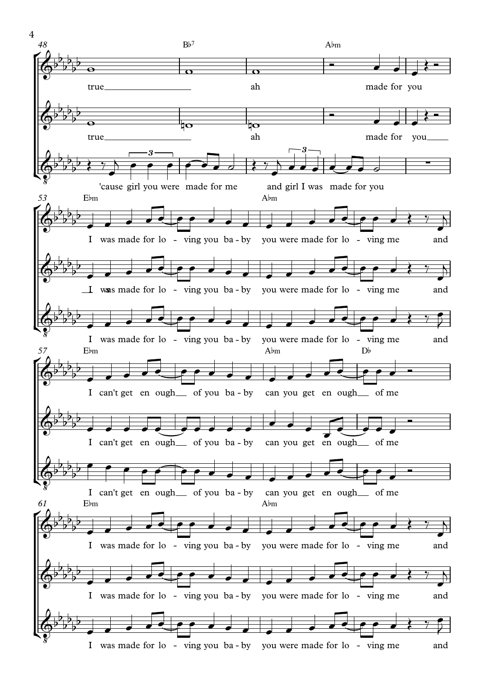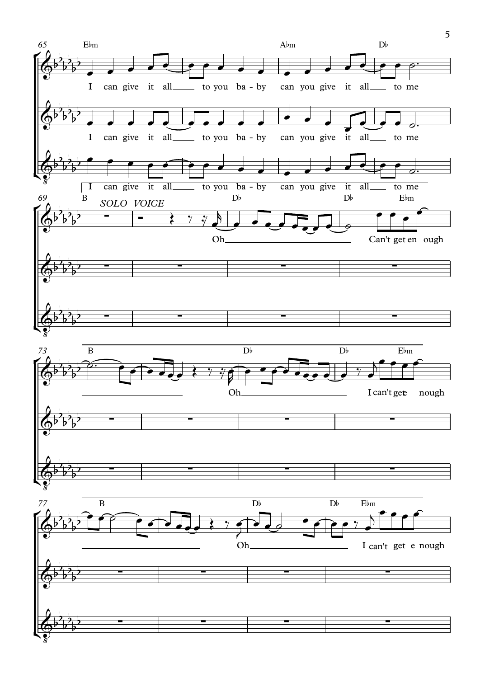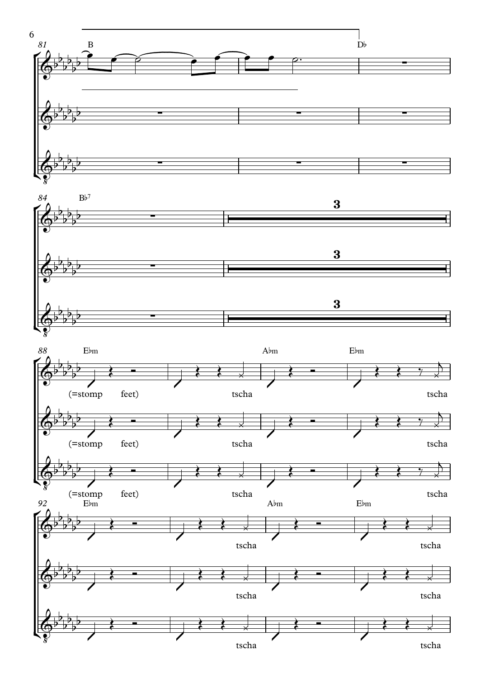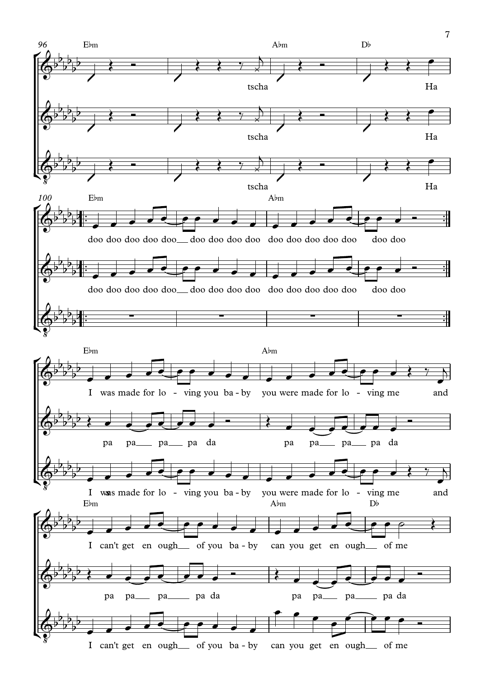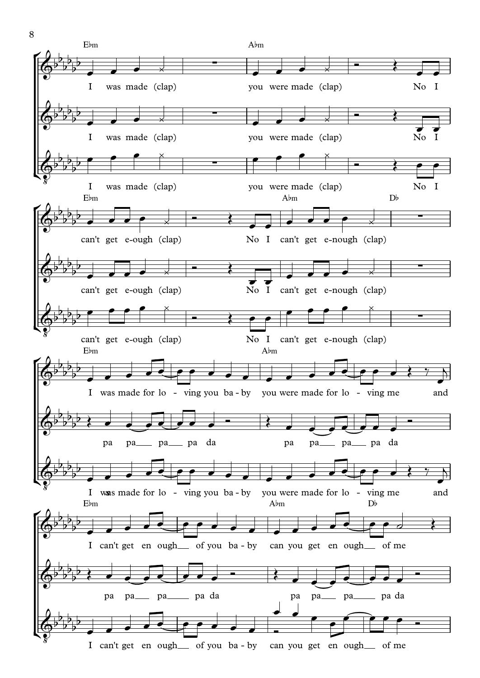